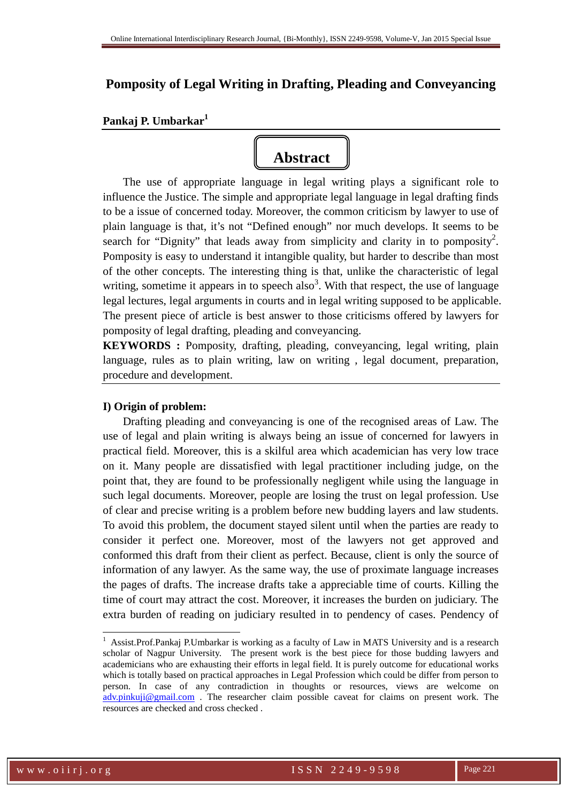# **Pomposity of Legal Writing in Drafting, Pleading and Conveyancing**

## **Pankaj P. Umbarkar<sup>1</sup>**

# **Abstract**

The use of appropriate language in legal writing plays a significant role to influence the Justice. The simple and appropriate legal language in legal drafting finds to be a issue of concerned today. Moreover, the common criticism by lawyer to use of plain language is that, it's not "Defined enough" nor much develops. It seems to be search for "Dignity" that leads away from simplicity and clarity in to pomposity<sup>2</sup>. Pomposity is easy to understand it intangible quality, but harder to describe than most of the other concepts. The interesting thing is that, unlike the characteristic of legal writing, sometime it appears in to speech also<sup>3</sup>. With that respect, the use of language legal lectures, legal arguments in courts and in legal writing supposed to be applicable. The present piece of article is best answer to those criticisms offered by lawyers for pomposity of legal drafting, pleading and conveyancing.

**KEYWORDS :** Pomposity, drafting, pleading, conveyancing, legal writing, plain language, rules as to plain writing, law on writing , legal document, preparation, procedure and development.

## **I) Origin of problem:**

Drafting pleading and conveyancing is one of the recognised areas of Law. The use of legal and plain writing is always being an issue of concerned for lawyers in practical field. Moreover, this is a skilful area which academician has very low trace on it. Many people are dissatisfied with legal practitioner including judge, on the point that, they are found to be professionally negligent while using the language in such legal documents. Moreover, people are losing the trust on legal profession. Use of clear and precise writing is a problem before new budding layers and law students. To avoid this problem, the document stayed silent until when the parties are ready to consider it perfect one. Moreover, most of the lawyers not get approved and conformed this draft from their client as perfect. Because, client is only the source of information of any lawyer. As the same way, the use of proximate language increases the pages of drafts. The increase drafts take a appreciable time of courts. Killing the time of court may attract the cost. Moreover, it increases the burden on judiciary. The extra burden of reading on judiciary resulted in to pendency of cases. Pendency of

<sup>1</sup> Assist.Prof.Pankaj P.Umbarkar is working as a faculty of Law in MATS University and is a research scholar of Nagpur University. The present work is the best piece for those budding lawyers and academicians who are exhausting their efforts in legal field. It is purely outcome for educational works which is totally based on practical approaches in Legal Profession which could be differ from person to person. In case of any contradiction in thoughts or resources, views are welcome on adv.pinkuji@gmail.com . The researcher claim possible caveat for claims on present work. The resources are checked and cross checked .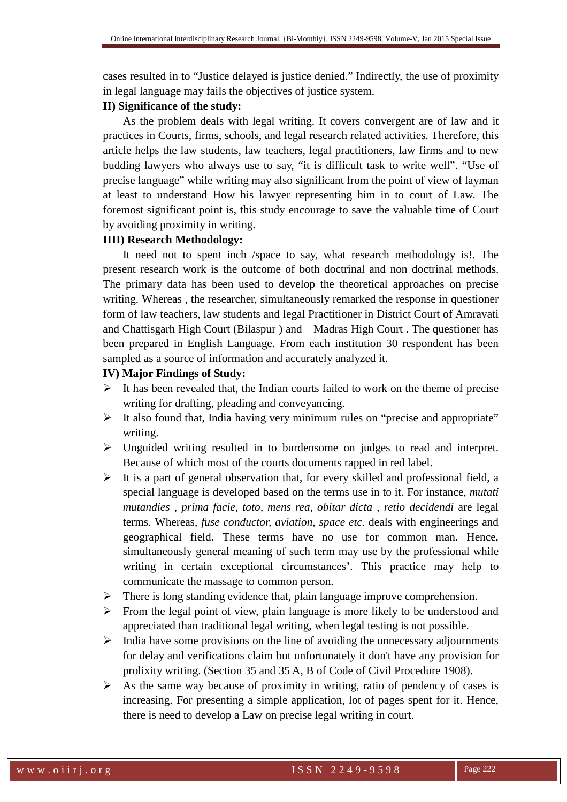cases resulted in to "Justice delayed is justice denied." Indirectly, the use of proximity in legal language may fails the objectives of justice system.

#### **II) Significance of the study:**

As the problem deals with legal writing. It covers convergent are of law and it practices in Courts, firms, schools, and legal research related activities. Therefore, this article helps the law students, law teachers, legal practitioners, law firms and to new budding lawyers who always use to say, "it is difficult task to write well". "Use of precise language" while writing may also significant from the point of view of layman at least to understand How his lawyer representing him in to court of Law. The foremost significant point is, this study encourage to save the valuable time of Court by avoiding proximity in writing.

## **IIII) Research Methodology:**

It need not to spent inch /space to say, what research methodology is!. The present research work is the outcome of both doctrinal and non doctrinal methods. The primary data has been used to develop the theoretical approaches on precise writing. Whereas , the researcher, simultaneously remarked the response in questioner form of law teachers, law students and legal Practitioner in District Court of Amravati and Chattisgarh High Court (Bilaspur ) and Madras High Court . The questioner has been prepared in English Language. From each institution 30 respondent has been sampled as a source of information and accurately analyzed it.

#### **IV) Major Findings of Study:**

- $\triangleright$  It has been revealed that, the Indian courts failed to work on the theme of precise writing for drafting, pleading and conveyancing.
- $\triangleright$  It also found that, India having very minimum rules on "precise and appropriate" writing.
- Unguided writing resulted in to burdensome on judges to read and interpret. Because of which most of the courts documents rapped in red label.
- $\triangleright$  It is a part of general observation that, for every skilled and professional field, a special language is developed based on the terms use in to it. For instance, *mutati mutandies , prima facie, toto, mens rea, obitar dicta* , *retio decidendi* are legal terms. Whereas, *fuse conductor, aviation, space etc.* deals with engineerings and geographical field. These terms have no use for common man. Hence, simultaneously general meaning of such term may use by the professional while writing in certain exceptional circumstances'. This practice may help to communicate the massage to common person.
- $\triangleright$  There is long standing evidence that, plain language improve comprehension.
- $\triangleright$  From the legal point of view, plain language is more likely to be understood and appreciated than traditional legal writing, when legal testing is not possible.
- $\triangleright$  India have some provisions on the line of avoiding the unnecessary adjournments for delay and verifications claim but unfortunately it don't have any provision for prolixity writing. (Section 35 and 35 A, B of Code of Civil Procedure 1908).
- $\triangleright$  As the same way because of proximity in writing, ratio of pendency of cases is increasing. For presenting a simple application, lot of pages spent for it. Hence, there is need to develop a Law on precise legal writing in court.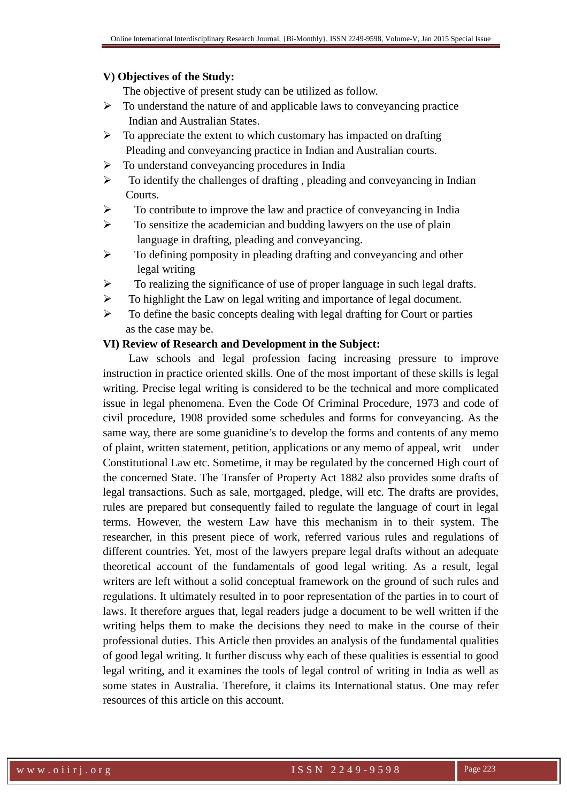#### **V) Objectives of the Study:**

The objective of present study can be utilized as follow.

- $\triangleright$  To understand the nature of and applicable laws to conveyancing practice Indian and Australian States.
- $\triangleright$  To appreciate the extent to which customary has impacted on drafting Pleading and conveyancing practice in Indian and Australian courts.
- $\triangleright$  To understand conveyancing procedures in India
- $\triangleright$  To identify the challenges of drafting, pleading and conveyancing in Indian **Courts**.
- $\triangleright$  To contribute to improve the law and practice of conveyancing in India
- $\triangleright$  To sensitize the academician and budding lawyers on the use of plain language in drafting, pleading and conveyancing.
- $\triangleright$  To defining pomposity in pleading drafting and conveyancing and other legal writing
- $\triangleright$  To realizing the significance of use of proper language in such legal drafts.
- $\triangleright$  To highlight the Law on legal writing and importance of legal document.
- $\triangleright$  To define the basic concepts dealing with legal drafting for Court or parties as the case may be.

## **VI) Review of Research and Development in the Subject:**

Law schools and legal profession facing increasing pressure to improve instruction in practice oriented skills. One of the most important of these skills is legal writing. Precise legal writing is considered to be the technical and more complicated issue in legal phenomena. Even the Code Of Criminal Procedure, 1973 and code of civil procedure, 1908 provided some schedules and forms for conveyancing. As the same way, there are some guanidine's to develop the forms and contents of any memo of plaint, written statement, petition, applications or any memo of appeal, writ under Constitutional Law etc. Sometime, it may be regulated by the concerned High court of the concerned State. The Transfer of Property Act 1882 also provides some drafts of legal transactions. Such as sale, mortgaged, pledge, will etc. The drafts are provides, rules are prepared but consequently failed to regulate the language of court in legal terms. However, the western Law have this mechanism in to their system. The researcher, in this present piece of work, referred various rules and regulations of different countries. Yet, most of the lawyers prepare legal drafts without an adequate theoretical account of the fundamentals of good legal writing. As a result, legal writers are left without a solid conceptual framework on the ground of such rules and regulations. It ultimately resulted in to poor representation of the parties in to court of laws. It therefore argues that, legal readers judge a document to be well written if the writing helps them to make the decisions they need to make in the course of their professional duties. This Article then provides an analysis of the fundamental qualities of good legal writing. It further discuss why each of these qualities is essential to good legal writing, and it examines the tools of legal control of writing in India as well as some states in Australia. Therefore, it claims its International status. One may refer resources of this article on this account.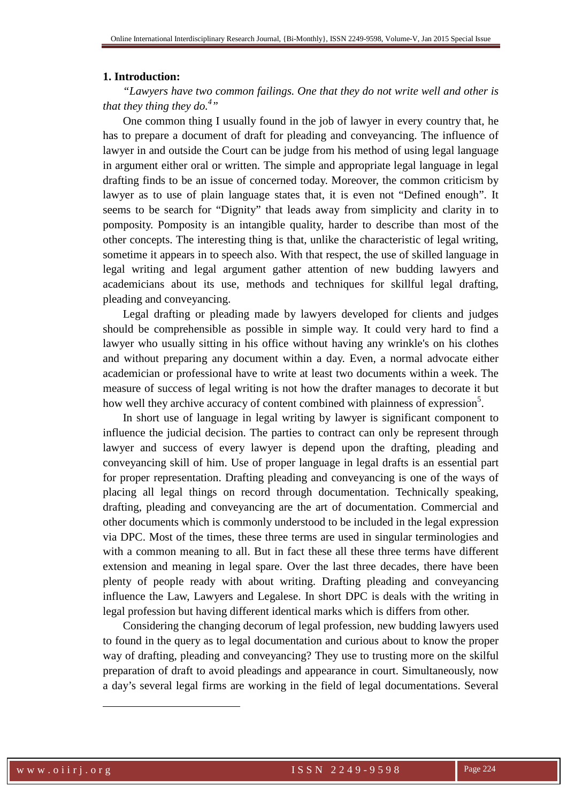#### **1. Introduction:**

*"Lawyers have two common failings. One that they do not write well and other is that they thing they do.<sup>4</sup> "* 

One common thing I usually found in the job of lawyer in every country that, he has to prepare a document of draft for pleading and conveyancing. The influence of lawyer in and outside the Court can be judge from his method of using legal language in argument either oral or written. The simple and appropriate legal language in legal drafting finds to be an issue of concerned today. Moreover, the common criticism by lawyer as to use of plain language states that, it is even not "Defined enough". It seems to be search for "Dignity" that leads away from simplicity and clarity in to pomposity. Pomposity is an intangible quality, harder to describe than most of the other concepts. The interesting thing is that, unlike the characteristic of legal writing, sometime it appears in to speech also. With that respect, the use of skilled language in legal writing and legal argument gather attention of new budding lawyers and academicians about its use, methods and techniques for skillful legal drafting, pleading and conveyancing.

Legal drafting or pleading made by lawyers developed for clients and judges should be comprehensible as possible in simple way. It could very hard to find a lawyer who usually sitting in his office without having any wrinkle's on his clothes and without preparing any document within a day. Even, a normal advocate either academician or professional have to write at least two documents within a week. The measure of success of legal writing is not how the drafter manages to decorate it but how well they archive accuracy of content combined with plainness of expression<sup>5</sup>.

In short use of language in legal writing by lawyer is significant component to influence the judicial decision. The parties to contract can only be represent through lawyer and success of every lawyer is depend upon the drafting, pleading and conveyancing skill of him. Use of proper language in legal drafts is an essential part for proper representation. Drafting pleading and conveyancing is one of the ways of placing all legal things on record through documentation. Technically speaking, drafting, pleading and conveyancing are the art of documentation. Commercial and other documents which is commonly understood to be included in the legal expression via DPC. Most of the times, these three terms are used in singular terminologies and with a common meaning to all. But in fact these all these three terms have different extension and meaning in legal spare. Over the last three decades, there have been plenty of people ready with about writing. Drafting pleading and conveyancing influence the Law, Lawyers and Legalese. In short DPC is deals with the writing in legal profession but having different identical marks which is differs from other.

 Considering the changing decorum of legal profession, new budding lawyers used to found in the query as to legal documentation and curious about to know the proper way of drafting, pleading and conveyancing? They use to trusting more on the skilful preparation of draft to avoid pleadings and appearance in court. Simultaneously, now a day's several legal firms are working in the field of legal documentations. Several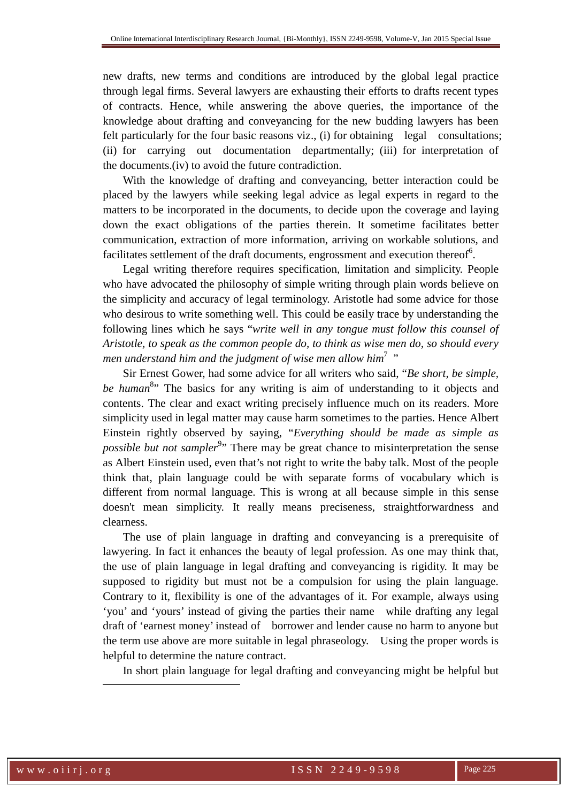new drafts, new terms and conditions are introduced by the global legal practice through legal firms. Several lawyers are exhausting their efforts to drafts recent types of contracts. Hence, while answering the above queries, the importance of the knowledge about drafting and conveyancing for the new budding lawyers has been felt particularly for the four basic reasons viz., (i) for obtaining legal consultations; (ii) for carrying out documentation departmentally; (iii) for interpretation of the documents.(iv) to avoid the future contradiction.

With the knowledge of drafting and conveyancing, better interaction could be placed by the lawyers while seeking legal advice as legal experts in regard to the matters to be incorporated in the documents, to decide upon the coverage and laying down the exact obligations of the parties therein. It sometime facilitates better communication, extraction of more information, arriving on workable solutions, and facilitates settlement of the draft documents, engrossment and execution thereof<sup>6</sup>.

Legal writing therefore requires specification, limitation and simplicity. People who have advocated the philosophy of simple writing through plain words believe on the simplicity and accuracy of legal terminology. Aristotle had some advice for those who desirous to write something well. This could be easily trace by understanding the following lines which he says "*write well in any tongue must follow this counsel of Aristotle, to speak as the common people do, to think as wise men do, so should every*  men understand him and the judgment of wise men allow him<sup>7</sup> "

Sir Ernest Gower, had some advice for all writers who said, "*Be short, be simple,*  be human<sup>8</sup><sup>2</sup> The basics for any writing is aim of understanding to it objects and contents. The clear and exact writing precisely influence much on its readers. More simplicity used in legal matter may cause harm sometimes to the parties. Hence Albert Einstein rightly observed by saying, "*Everything should be made as simple as possible but not sampler*<sup>9</sup>" There may be great chance to misinterpretation the sense as Albert Einstein used, even that's not right to write the baby talk. Most of the people think that, plain language could be with separate forms of vocabulary which is different from normal language. This is wrong at all because simple in this sense doesn't mean simplicity. It really means preciseness, straightforwardness and clearness.

The use of plain language in drafting and conveyancing is a prerequisite of lawyering. In fact it enhances the beauty of legal profession. As one may think that, the use of plain language in legal drafting and conveyancing is rigidity. It may be supposed to rigidity but must not be a compulsion for using the plain language. Contrary to it, flexibility is one of the advantages of it. For example, always using 'you' and 'yours' instead of giving the parties their name while drafting any legal draft of 'earnest money' instead of borrower and lender cause no harm to anyone but the term use above are more suitable in legal phraseology. Using the proper words is helpful to determine the nature contract.

In short plain language for legal drafting and conveyancing might be helpful but

 $\ddot{ }$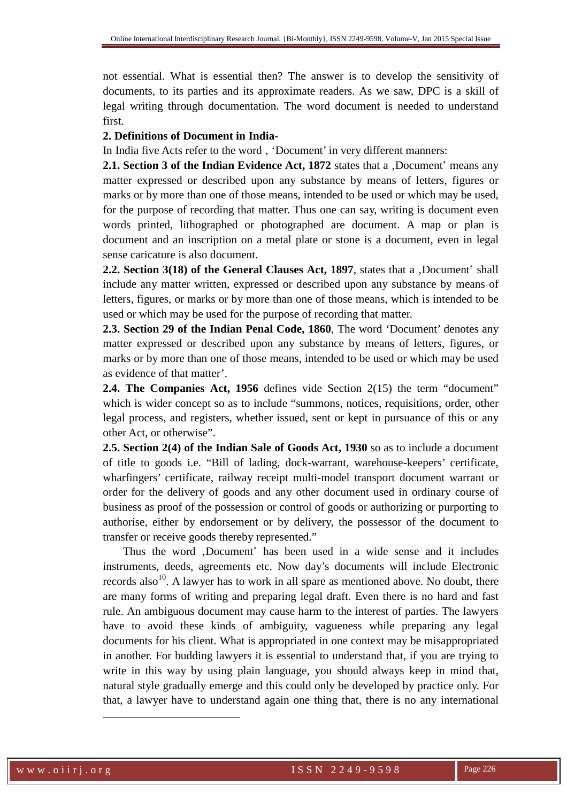not essential. What is essential then? The answer is to develop the sensitivity of documents, to its parties and its approximate readers. As we saw, DPC is a skill of legal writing through documentation. The word document is needed to understand first.

### **2. Definitions of Document in India-**

In India five Acts refer to the word, 'Document' in very different manners:

**2.1. Section 3 of the Indian Evidence Act, 1872** states that a , Document' means any matter expressed or described upon any substance by means of letters, figures or marks or by more than one of those means, intended to be used or which may be used, for the purpose of recording that matter. Thus one can say, writing is document even words printed, lithographed or photographed are document. A map or plan is document and an inscription on a metal plate or stone is a document, even in legal sense caricature is also document.

**2.2. Section 3(18) of the General Clauses Act, 1897**, states that a , Document' shall include any matter written, expressed or described upon any substance by means of letters, figures, or marks or by more than one of those means, which is intended to be used or which may be used for the purpose of recording that matter.

**2.3. Section 29 of the Indian Penal Code, 1860**, The word 'Document' denotes any matter expressed or described upon any substance by means of letters, figures, or marks or by more than one of those means, intended to be used or which may be used as evidence of that matter'.

**2.4. The Companies Act, 1956** defines vide Section 2(15) the term "document" which is wider concept so as to include "summons, notices, requisitions, order, other legal process, and registers, whether issued, sent or kept in pursuance of this or any other Act, or otherwise".

**2.5. Section 2(4) of the Indian Sale of Goods Act, 1930** so as to include a document of title to goods i.e. "Bill of lading, dock-warrant, warehouse-keepers' certificate, wharfingers' certificate, railway receipt multi-model transport document warrant or order for the delivery of goods and any other document used in ordinary course of business as proof of the possession or control of goods or authorizing or purporting to authorise, either by endorsement or by delivery, the possessor of the document to transfer or receive goods thereby represented."

Thus the word 'Document' has been used in a wide sense and it includes instruments, deeds, agreements etc. Now day's documents will include Electronic records also<sup>10</sup>. A lawyer has to work in all spare as mentioned above. No doubt, there are many forms of writing and preparing legal draft. Even there is no hard and fast rule. An ambiguous document may cause harm to the interest of parties. The lawyers have to avoid these kinds of ambiguity, vagueness while preparing any legal documents for his client. What is appropriated in one context may be misappropriated in another. For budding lawyers it is essential to understand that, if you are trying to write in this way by using plain language, you should always keep in mind that, natural style gradually emerge and this could only be developed by practice only. For that, a lawyer have to understand again one thing that, there is no any international

 $\ddot{ }$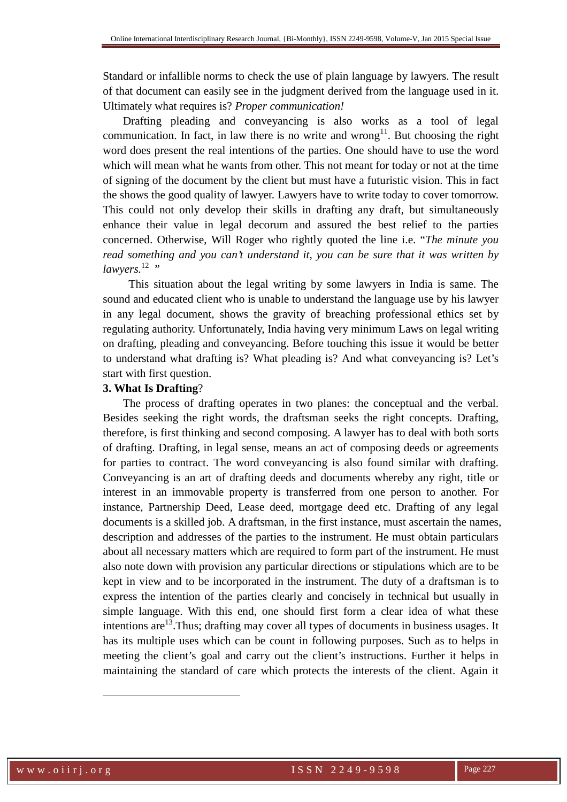Standard or infallible norms to check the use of plain language by lawyers. The result of that document can easily see in the judgment derived from the language used in it. Ultimately what requires is? *Proper communication!*

Drafting pleading and conveyancing is also works as a tool of legal communication. In fact, in law there is no write and wrong<sup>11</sup>. But choosing the right word does present the real intentions of the parties. One should have to use the word which will mean what he wants from other. This not meant for today or not at the time of signing of the document by the client but must have a futuristic vision. This in fact the shows the good quality of lawyer. Lawyers have to write today to cover tomorrow. This could not only develop their skills in drafting any draft, but simultaneously enhance their value in legal decorum and assured the best relief to the parties concerned. Otherwise, Will Roger who rightly quoted the line i.e. "*The minute you read something and you can't understand it, you can be sure that it was written by lawyers.*<sup>12</sup> "

 This situation about the legal writing by some lawyers in India is same. The sound and educated client who is unable to understand the language use by his lawyer in any legal document, shows the gravity of breaching professional ethics set by regulating authority. Unfortunately, India having very minimum Laws on legal writing on drafting, pleading and conveyancing. Before touching this issue it would be better to understand what drafting is? What pleading is? And what conveyancing is? Let's start with first question.

#### **3. What Is Drafting**?

The process of drafting operates in two planes: the conceptual and the verbal. Besides seeking the right words, the draftsman seeks the right concepts. Drafting, therefore, is first thinking and second composing. A lawyer has to deal with both sorts of drafting. Drafting, in legal sense, means an act of composing deeds or agreements for parties to contract. The word conveyancing is also found similar with drafting. Conveyancing is an art of drafting deeds and documents whereby any right, title or interest in an immovable property is transferred from one person to another. For instance, Partnership Deed, Lease deed, mortgage deed etc. Drafting of any legal documents is a skilled job. A draftsman, in the first instance, must ascertain the names, description and addresses of the parties to the instrument. He must obtain particulars about all necessary matters which are required to form part of the instrument. He must also note down with provision any particular directions or stipulations which are to be kept in view and to be incorporated in the instrument. The duty of a draftsman is to express the intention of the parties clearly and concisely in technical but usually in simple language. With this end, one should first form a clear idea of what these intentions are<sup>13</sup>. Thus; drafting may cover all types of documents in business usages. It has its multiple uses which can be count in following purposes. Such as to helps in meeting the client's goal and carry out the client's instructions. Further it helps in maintaining the standard of care which protects the interests of the client. Again it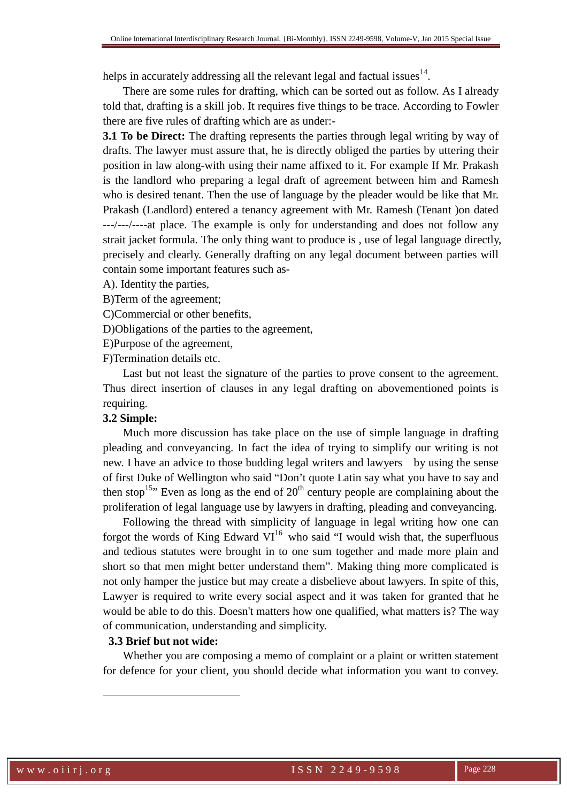helps in accurately addressing all the relevant legal and factual issues  $14$ .

There are some rules for drafting, which can be sorted out as follow. As I already told that, drafting is a skill job. It requires five things to be trace. According to Fowler there are five rules of drafting which are as under:-

**3.1 To be Direct:** The drafting represents the parties through legal writing by way of drafts. The lawyer must assure that, he is directly obliged the parties by uttering their position in law along-with using their name affixed to it. For example If Mr. Prakash is the landlord who preparing a legal draft of agreement between him and Ramesh who is desired tenant. Then the use of language by the pleader would be like that Mr. Prakash (Landlord) entered a tenancy agreement with Mr. Ramesh (Tenant )on dated ---/---/----at place. The example is only for understanding and does not follow any strait jacket formula. The only thing want to produce is , use of legal language directly, precisely and clearly. Generally drafting on any legal document between parties will contain some important features such as-

A). Identity the parties,

B)Term of the agreement;

C)Commercial or other benefits,

D)Obligations of the parties to the agreement,

E)Purpose of the agreement,

F)Termination details etc.

Last but not least the signature of the parties to prove consent to the agreement. Thus direct insertion of clauses in any legal drafting on abovementioned points is requiring.

#### **3.2 Simple:**

Much more discussion has take place on the use of simple language in drafting pleading and conveyancing. In fact the idea of trying to simplify our writing is not new. I have an advice to those budding legal writers and lawyers by using the sense of first Duke of Wellington who said "Don't quote Latin say what you have to say and then stop<sup>15,</sup> Even as long as the end of  $20<sup>th</sup>$  century people are complaining about the proliferation of legal language use by lawyers in drafting, pleading and conveyancing.

Following the thread with simplicity of language in legal writing how one can forgot the words of King Edward  $VI^{16}$  who said "I would wish that, the superfluous and tedious statutes were brought in to one sum together and made more plain and short so that men might better understand them". Making thing more complicated is not only hamper the justice but may create a disbelieve about lawyers. In spite of this, Lawyer is required to write every social aspect and it was taken for granted that he would be able to do this. Doesn't matters how one qualified, what matters is? The way of communication, understanding and simplicity.

## **3.3 Brief but not wide:**

Whether you are composing a memo of complaint or a plaint or written statement for defence for your client, you should decide what information you want to convey.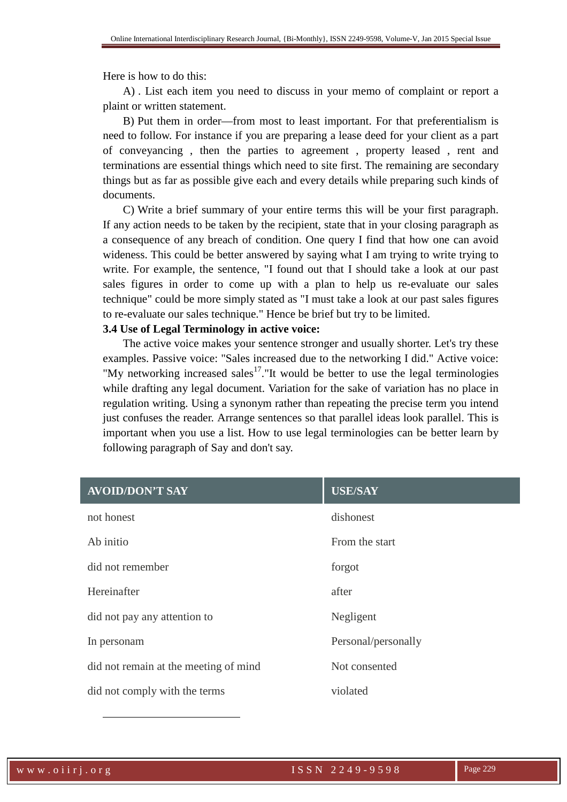Here is how to do this:

A) . List each item you need to discuss in your memo of complaint or report a plaint or written statement.

B) Put them in order—from most to least important. For that preferentialism is need to follow. For instance if you are preparing a lease deed for your client as a part of conveyancing , then the parties to agreement , property leased , rent and terminations are essential things which need to site first. The remaining are secondary things but as far as possible give each and every details while preparing such kinds of documents.

C) Write a brief summary of your entire terms this will be your first paragraph. If any action needs to be taken by the recipient, state that in your closing paragraph as a consequence of any breach of condition. One query I find that how one can avoid wideness. This could be better answered by saying what I am trying to write trying to write. For example, the sentence, "I found out that I should take a look at our past sales figures in order to come up with a plan to help us re-evaluate our sales technique" could be more simply stated as "I must take a look at our past sales figures to re-evaluate our sales technique." Hence be brief but try to be limited.

#### **3.4 Use of Legal Terminology in active voice:**

The active voice makes your sentence stronger and usually shorter. Let's try these examples. Passive voice: "Sales increased due to the networking I did." Active voice: "My networking increased sales $17$ ."It would be better to use the legal terminologies while drafting any legal document. Variation for the sake of variation has no place in regulation writing. Using a synonym rather than repeating the precise term you intend just confuses the reader. Arrange sentences so that parallel ideas look parallel. This is important when you use a list. How to use legal terminologies can be better learn by following paragraph of Say and don't say.

| <b>AVOID/DON'T SAY</b>                | <b>USE/SAY</b>      |
|---------------------------------------|---------------------|
| not honest                            | dishonest           |
| Ab initio                             | From the start      |
| did not remember                      | forgot              |
| Hereinafter                           | after               |
| did not pay any attention to          | Negligent           |
| In personam                           | Personal/personally |
| did not remain at the meeting of mind | Not consented       |
| did not comply with the terms         | violated            |

 $\ddot{ }$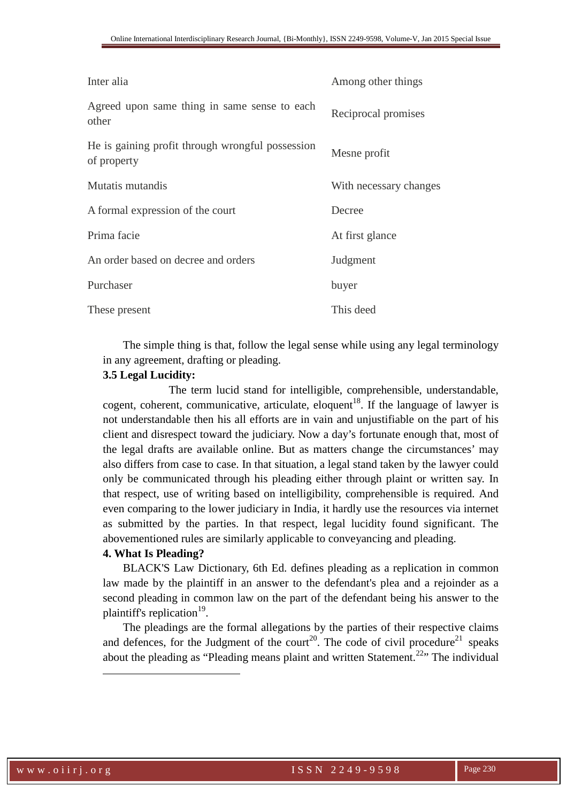| Inter alia                                                      | Among other things     |
|-----------------------------------------------------------------|------------------------|
| Agreed upon same thing in same sense to each<br>other           | Reciprocal promises    |
| He is gaining profit through wrongful possession<br>of property | Mesne profit           |
| Mutatis mutandis                                                | With necessary changes |
| A formal expression of the court                                | Decree                 |
| Prima facie                                                     | At first glance        |
| An order based on decree and orders                             | Judgment               |
| Purchaser                                                       | buyer                  |
| These present                                                   | This deed              |

The simple thing is that, follow the legal sense while using any legal terminology in any agreement, drafting or pleading.

## **3.5 Legal Lucidity:**

The term lucid stand for intelligible, comprehensible, understandable, cogent, coherent, communicative, articulate, eloquent<sup>18</sup>. If the language of lawyer is not understandable then his all efforts are in vain and unjustifiable on the part of his client and disrespect toward the judiciary. Now a day's fortunate enough that, most of the legal drafts are available online. But as matters change the circumstances' may also differs from case to case. In that situation, a legal stand taken by the lawyer could only be communicated through his pleading either through plaint or written say. In that respect, use of writing based on intelligibility, comprehensible is required. And even comparing to the lower judiciary in India, it hardly use the resources via internet as submitted by the parties. In that respect, legal lucidity found significant. The abovementioned rules are similarly applicable to conveyancing and pleading.

## **4. What Is Pleading?**

BLACK'S Law Dictionary, 6th Ed. defines pleading as a replication in common law made by the plaintiff in an answer to the defendant's plea and a rejoinder as a second pleading in common law on the part of the defendant being his answer to the plaintiff's replication<sup>19</sup>.

The pleadings are the formal allegations by the parties of their respective claims and defences, for the Judgment of the court<sup>20</sup>. The code of civil procedure<sup>21</sup> speaks about the pleading as "Pleading means plaint and written Statement.<sup>22</sup>" The individual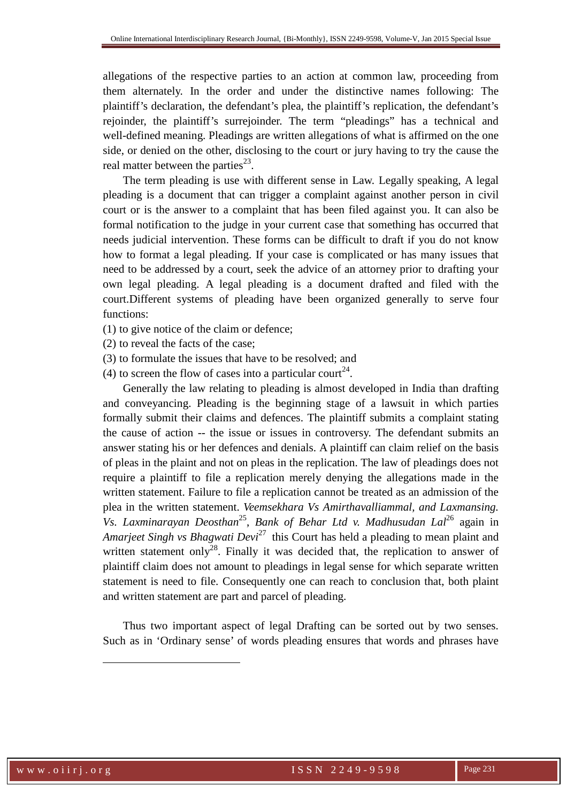allegations of the respective parties to an action at common law, proceeding from them alternately. In the order and under the distinctive names following: The plaintiff's declaration, the defendant's plea, the plaintiff's replication, the defendant's rejoinder, the plaintiff's surrejoinder. The term "pleadings" has a technical and well-defined meaning. Pleadings are written allegations of what is affirmed on the one side, or denied on the other, disclosing to the court or jury having to try the cause the real matter between the parties $^{23}$ .

The term pleading is use with different sense in Law. Legally speaking, A legal pleading is a document that can trigger a complaint against another person in civil court or is the answer to a complaint that has been filed against you. It can also be formal notification to the judge in your current case that something has occurred that needs judicial intervention. These forms can be difficult to draft if you do not know how to format a legal pleading. If your case is complicated or has many issues that need to be addressed by a court, seek the advice of an attorney prior to drafting your own legal pleading. A legal pleading is a document drafted and filed with the court.Different systems of pleading have been organized generally to serve four functions:

- (1) to give notice of the claim or defence;
- (2) to reveal the facts of the case;
- (3) to formulate the issues that have to be resolved; and
- (4) to screen the flow of cases into a particular court<sup>24</sup>.

Generally the law relating to pleading is almost developed in India than drafting and conveyancing. Pleading is the beginning stage of a lawsuit in which parties formally submit their claims and defences. The plaintiff submits a complaint stating the cause of action -- the issue or issues in controversy. The defendant submits an answer stating his or her defences and denials. A plaintiff can claim relief on the basis of pleas in the plaint and not on pleas in the replication. The law of pleadings does not require a plaintiff to file a replication merely denying the allegations made in the written statement. Failure to file a replication cannot be treated as an admission of the plea in the written statement. *Veemsekhara Vs Amirthavalliammal, and Laxmansing. Vs. Laxminarayan Deosthan*<sup>25</sup> , *Bank of Behar Ltd v. Madhusudan Lal*<sup>26</sup> again in *Amarjeet Singh vs Bhagwati Devi*<sup>27</sup> this Court has held a pleading to mean plaint and written statement only<sup>28</sup>. Finally it was decided that, the replication to answer of plaintiff claim does not amount to pleadings in legal sense for which separate written statement is need to file. Consequently one can reach to conclusion that, both plaint and written statement are part and parcel of pleading.

Thus two important aspect of legal Drafting can be sorted out by two senses. Such as in 'Ordinary sense' of words pleading ensures that words and phrases have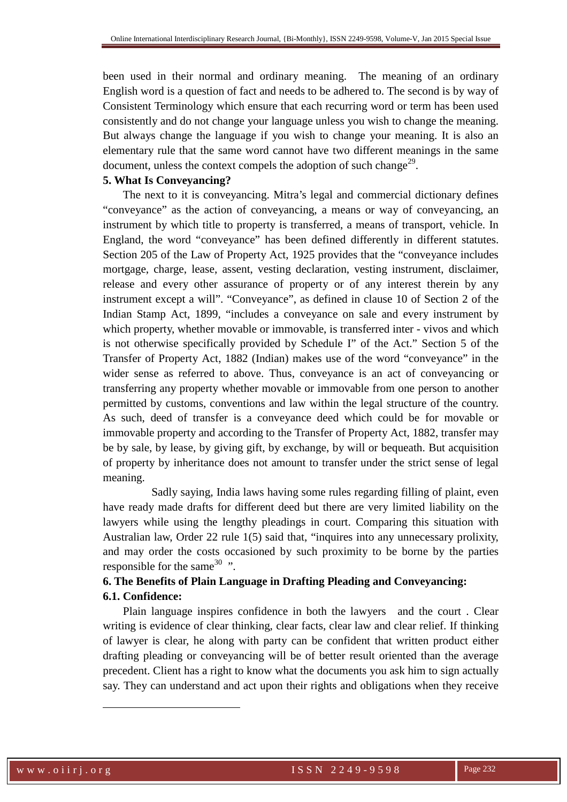been used in their normal and ordinary meaning. The meaning of an ordinary English word is a question of fact and needs to be adhered to. The second is by way of Consistent Terminology which ensure that each recurring word or term has been used consistently and do not change your language unless you wish to change the meaning. But always change the language if you wish to change your meaning. It is also an elementary rule that the same word cannot have two different meanings in the same document, unless the context compels the adoption of such change<sup>29</sup>.

#### **5. What Is Conveyancing?**

The next to it is conveyancing. Mitra's legal and commercial dictionary defines "conveyance" as the action of conveyancing, a means or way of conveyancing, an instrument by which title to property is transferred, a means of transport, vehicle. In England, the word "conveyance" has been defined differently in different statutes. Section 205 of the Law of Property Act, 1925 provides that the "conveyance includes mortgage, charge, lease, assent, vesting declaration, vesting instrument, disclaimer, release and every other assurance of property or of any interest therein by any instrument except a will". "Conveyance", as defined in clause 10 of Section 2 of the Indian Stamp Act, 1899, "includes a conveyance on sale and every instrument by which property, whether movable or immovable, is transferred inter - vivos and which is not otherwise specifically provided by Schedule I" of the Act." Section 5 of the Transfer of Property Act, 1882 (Indian) makes use of the word "conveyance" in the wider sense as referred to above. Thus, conveyance is an act of conveyancing or transferring any property whether movable or immovable from one person to another permitted by customs, conventions and law within the legal structure of the country. As such, deed of transfer is a conveyance deed which could be for movable or immovable property and according to the Transfer of Property Act, 1882, transfer may be by sale, by lease, by giving gift, by exchange, by will or bequeath. But acquisition of property by inheritance does not amount to transfer under the strict sense of legal meaning.

 Sadly saying, India laws having some rules regarding filling of plaint, even have ready made drafts for different deed but there are very limited liability on the lawyers while using the lengthy pleadings in court. Comparing this situation with Australian law, Order 22 rule 1(5) said that, "inquires into any unnecessary prolixity, and may order the costs occasioned by such proximity to be borne by the parties responsible for the same  $30$  ".

## **6. The Benefits of Plain Language in Drafting Pleading and Conveyancing: 6.1. Confidence:**

Plain language inspires confidence in both the lawyers and the court . Clear writing is evidence of clear thinking, clear facts, clear law and clear relief. If thinking of lawyer is clear, he along with party can be confident that written product either drafting pleading or conveyancing will be of better result oriented than the average precedent. Client has a right to know what the documents you ask him to sign actually say. They can understand and act upon their rights and obligations when they receive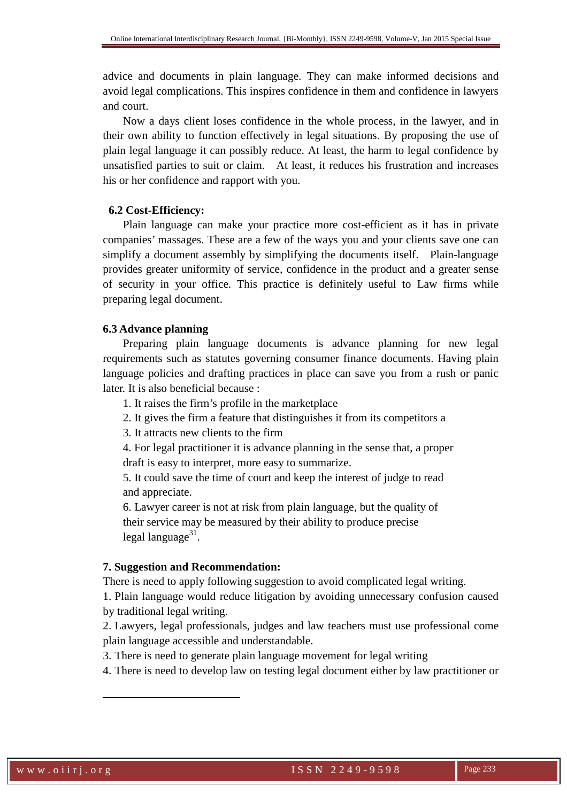advice and documents in plain language. They can make informed decisions and avoid legal complications. This inspires confidence in them and confidence in lawyers and court.

Now a days client loses confidence in the whole process, in the lawyer, and in their own ability to function effectively in legal situations. By proposing the use of plain legal language it can possibly reduce. At least, the harm to legal confidence by unsatisfied parties to suit or claim. At least, it reduces his frustration and increases his or her confidence and rapport with you.

## **6.2 Cost-Efficiency:**

 Plain language can make your practice more cost-efficient as it has in private companies' massages. These are a few of the ways you and your clients save one can simplify a document assembly by simplifying the documents itself. Plain-language provides greater uniformity of service, confidence in the product and a greater sense of security in your office. This practice is definitely useful to Law firms while preparing legal document.

## **6.3 Advance planning**

 Preparing plain language documents is advance planning for new legal requirements such as statutes governing consumer finance documents. Having plain language policies and drafting practices in place can save you from a rush or panic later. It is also beneficial because :

1. It raises the firm's profile in the marketplace

2. It gives the firm a feature that distinguishes it from its competitors a

3. It attracts new clients to the firm

4. For legal practitioner it is advance planning in the sense that, a proper draft is easy to interpret, more easy to summarize.

5. It could save the time of court and keep the interest of judge to read and appreciate.

6. Lawyer career is not at risk from plain language, but the quality of their service may be measured by their ability to produce precise legal language<sup>31</sup>.

## **7. Suggestion and Recommendation:**

There is need to apply following suggestion to avoid complicated legal writing.

1. Plain language would reduce litigation by avoiding unnecessary confusion caused by traditional legal writing.

2. Lawyers, legal professionals, judges and law teachers must use professional come plain language accessible and understandable.

3. There is need to generate plain language movement for legal writing

4. There is need to develop law on testing legal document either by law practitioner or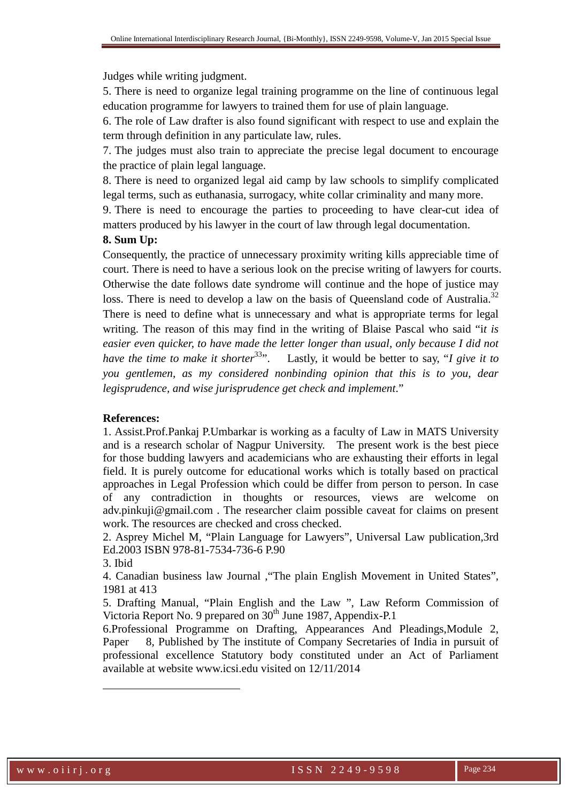Judges while writing judgment.

5. There is need to organize legal training programme on the line of continuous legal education programme for lawyers to trained them for use of plain language.

6. The role of Law drafter is also found significant with respect to use and explain the term through definition in any particulate law, rules.

7. The judges must also train to appreciate the precise legal document to encourage the practice of plain legal language.

8. There is need to organized legal aid camp by law schools to simplify complicated legal terms, such as euthanasia, surrogacy, white collar criminality and many more.

9. There is need to encourage the parties to proceeding to have clear-cut idea of matters produced by his lawyer in the court of law through legal documentation.

## **8. Sum Up:**

Consequently, the practice of unnecessary proximity writing kills appreciable time of court. There is need to have a serious look on the precise writing of lawyers for courts. Otherwise the date follows date syndrome will continue and the hope of justice may loss. There is need to develop a law on the basis of Queensland code of Australia.<sup>32</sup>

There is need to define what is unnecessary and what is appropriate terms for legal writing. The reason of this may find in the writing of Blaise Pascal who said "i*t is easier even quicker, to have made the letter longer than usual, only because I did not have the time to make it shorter*<sup>33</sup>". Lastly, it would be better to say, "*I give it to you gentlemen, as my considered nonbinding opinion that this is to you, dear legisprudence, and wise jurisprudence get check and implement*."

#### **References:**

1. Assist.Prof.Pankaj P.Umbarkar is working as a faculty of Law in MATS University and is a research scholar of Nagpur University. The present work is the best piece for those budding lawyers and academicians who are exhausting their efforts in legal field. It is purely outcome for educational works which is totally based on practical approaches in Legal Profession which could be differ from person to person. In case of any contradiction in thoughts or resources, views are welcome on adv.pinkuji@gmail.com . The researcher claim possible caveat for claims on present work. The resources are checked and cross checked.

2. Asprey Michel M, "Plain Language for Lawyers", Universal Law publication,3rd Ed.2003 ISBN 978-81-7534-736-6 P.90

3. Ibid

 $\overline{a}$ 

4. Canadian business law Journal ,"The plain English Movement in United States", 1981 at 413

5. Drafting Manual, "Plain English and the Law ", Law Reform Commission of Victoria Report No. 9 prepared on 30<sup>th</sup> June 1987, Appendix-P.1

6.Professional Programme on Drafting, Appearances And Pleadings,Module 2, Paper 8, Published by The institute of Company Secretaries of India in pursuit of professional excellence Statutory body constituted under an Act of Parliament available at website www.icsi.edu visited on 12/11/2014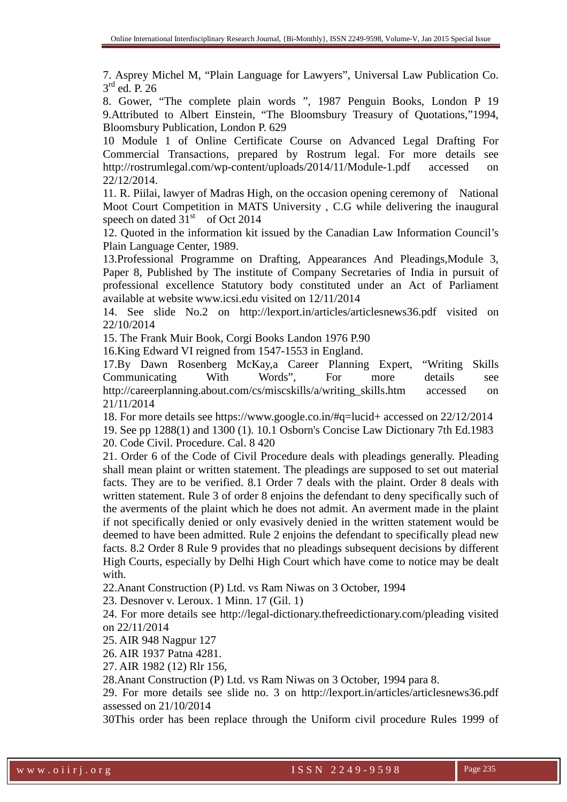7. Asprey Michel M, "Plain Language for Lawyers", Universal Law Publication Co. 3 rd ed. P. 26

8. Gower, "The complete plain words ", 1987 Penguin Books, London P 19 9.Attributed to Albert Einstein, "The Bloomsbury Treasury of Quotations,"1994, Bloomsbury Publication, London P. 629

10 Module 1 of Online Certificate Course on Advanced Legal Drafting For Commercial Transactions, prepared by Rostrum legal. For more details see http://rostrumlegal.com/wp-content/uploads/2014/11/Module-1.pdf accessed on 22/12/2014.

11. R. Piilai, lawyer of Madras High, on the occasion opening ceremony of National Moot Court Competition in MATS University , C.G while delivering the inaugural speech on dated  $31<sup>st</sup>$  of Oct 2014

12. Quoted in the information kit issued by the Canadian Law Information Council's Plain Language Center, 1989.

13.Professional Programme on Drafting, Appearances And Pleadings,Module 3, Paper 8, Published by The institute of Company Secretaries of India in pursuit of professional excellence Statutory body constituted under an Act of Parliament available at website www.icsi.edu visited on 12/11/2014

14. See slide No.2 on http://lexport.in/articles/articlesnews36.pdf visited on 22/10/2014

15. The Frank Muir Book, Corgi Books Landon 1976 P.90

16.King Edward VI reigned from 1547-1553 in England.

17.By Dawn Rosenberg McKay,a Career Planning Expert, "Writing Skills Communicating With Words", For more details see http://careerplanning.about.com/cs/miscskills/a/writing\_skills.htm accessed on 21/11/2014

18. For more details see https://www.google.co.in/#q=lucid+ accessed on 22/12/2014

19. See pp 1288(1) and 1300 (1). 10.1 Osborn's Concise Law Dictionary 7th Ed.1983

20. Code Civil. Procedure. Cal. 8 420

21. Order 6 of the Code of Civil Procedure deals with pleadings generally. Pleading shall mean plaint or written statement. The pleadings are supposed to set out material facts. They are to be verified. 8.1 Order 7 deals with the plaint. Order 8 deals with written statement. Rule 3 of order 8 enjoins the defendant to deny specifically such of the averments of the plaint which he does not admit. An averment made in the plaint if not specifically denied or only evasively denied in the written statement would be deemed to have been admitted. Rule 2 enjoins the defendant to specifically plead new facts. 8.2 Order 8 Rule 9 provides that no pleadings subsequent decisions by different High Courts, especially by Delhi High Court which have come to notice may be dealt with.

22.Anant Construction (P) Ltd. vs Ram Niwas on 3 October, 1994

23. Desnover v. Leroux. 1 Minn. 17 (Gil. 1)

24. For more details see http://legal-dictionary.thefreedictionary.com/pleading visited on 22/11/2014

25. AIR 948 Nagpur 127

26. AIR 1937 Patna 4281.

27. AIR 1982 (12) Rlr 156,

28.Anant Construction (P) Ltd. vs Ram Niwas on 3 October, 1994 para 8.

29. For more details see slide no. 3 on http://lexport.in/articles/articlesnews36.pdf assessed on 21/10/2014

30This order has been replace through the Uniform civil procedure Rules 1999 of

w w w . o i i r j . o r g i series and the series of SSN 2249-9598 Page 235